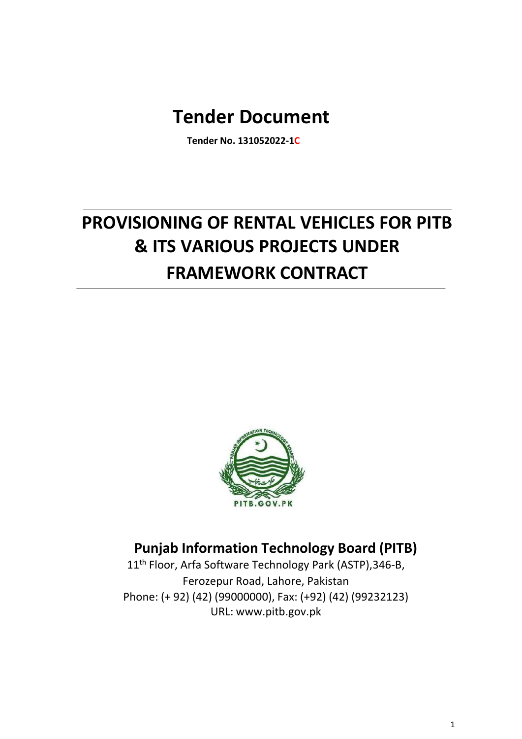# **Tender Document**

**Tender No. 131052022-1C**

# **PROVISIONING OF RENTAL VEHICLES FOR PITB & ITS VARIOUS PROJECTS UNDER FRAMEWORK CONTRACT**



# **Punjab Information Technology Board (PITB)**

11<sup>th</sup> Floor, Arfa Software Technology Park (ASTP), 346-B, Ferozepur Road, Lahore, Pakistan Phone: (+ 92) (42) (99000000), Fax: (+92) (42) (99232123) URL: www.pitb.gov.pk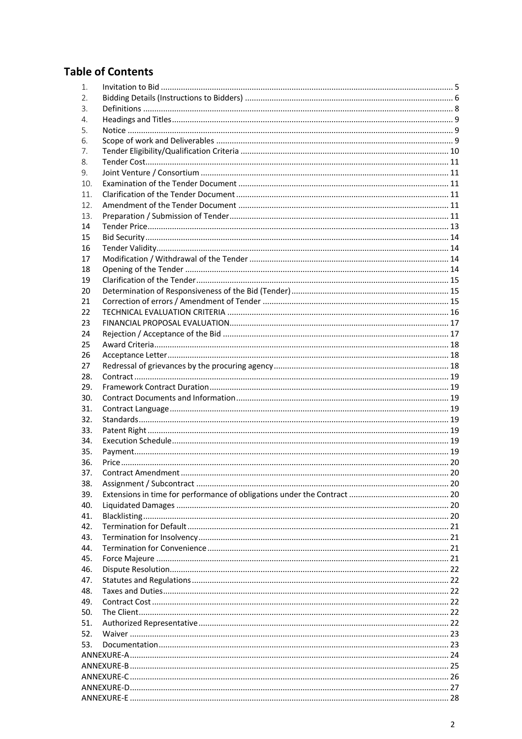# **Table of Contents**

| 1.  |  |  |  |  |
|-----|--|--|--|--|
| 2.  |  |  |  |  |
| 3.  |  |  |  |  |
| 4.  |  |  |  |  |
| 5.  |  |  |  |  |
| 6.  |  |  |  |  |
| 7.  |  |  |  |  |
| 8.  |  |  |  |  |
| 9.  |  |  |  |  |
| 10. |  |  |  |  |
| 11. |  |  |  |  |
| 12. |  |  |  |  |
| 13. |  |  |  |  |
| 14  |  |  |  |  |
| 15  |  |  |  |  |
| 16  |  |  |  |  |
| 17  |  |  |  |  |
| 18  |  |  |  |  |
| 19  |  |  |  |  |
| 20  |  |  |  |  |
| 21  |  |  |  |  |
| 22  |  |  |  |  |
| 23  |  |  |  |  |
| 24  |  |  |  |  |
| 25  |  |  |  |  |
| 26  |  |  |  |  |
| 27  |  |  |  |  |
| 28. |  |  |  |  |
| 29. |  |  |  |  |
| 30. |  |  |  |  |
| 31. |  |  |  |  |
| 32. |  |  |  |  |
| 33. |  |  |  |  |
| 34. |  |  |  |  |
| 35. |  |  |  |  |
| 36. |  |  |  |  |
| 37. |  |  |  |  |
| 38. |  |  |  |  |
| 39. |  |  |  |  |
| 40. |  |  |  |  |
| 41. |  |  |  |  |
| 42. |  |  |  |  |
| 43. |  |  |  |  |
| 44. |  |  |  |  |
| 45. |  |  |  |  |
| 46. |  |  |  |  |
| 47. |  |  |  |  |
| 48. |  |  |  |  |
| 49. |  |  |  |  |
| 50. |  |  |  |  |
| 51. |  |  |  |  |
| 52. |  |  |  |  |
| 53. |  |  |  |  |
|     |  |  |  |  |
|     |  |  |  |  |
|     |  |  |  |  |
|     |  |  |  |  |
|     |  |  |  |  |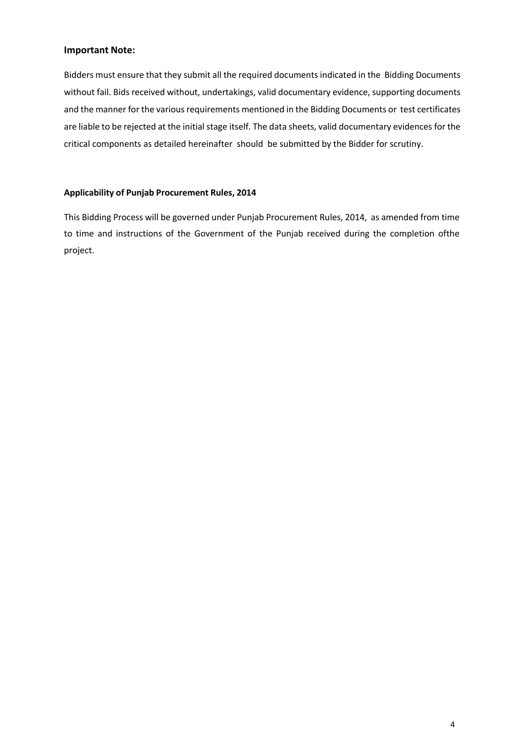#### **Important Note:**

Bidders must ensure that they submit all the required documents indicated in the Bidding Documents without fail. Bids received without, undertakings, valid documentary evidence, supporting documents and the manner for the various requirements mentioned in the Bidding Documents or test certificates are liable to be rejected at the initial stage itself. The data sheets, valid documentary evidences for the critical components as detailed hereinafter should be submitted by the Bidder for scrutiny.

#### **Applicability of Punjab Procurement Rules, 2014**

This Bidding Process will be governed under Punjab Procurement Rules, 2014, as amended from time to time and instructions of the Government of the Punjab received during the completion ofthe project.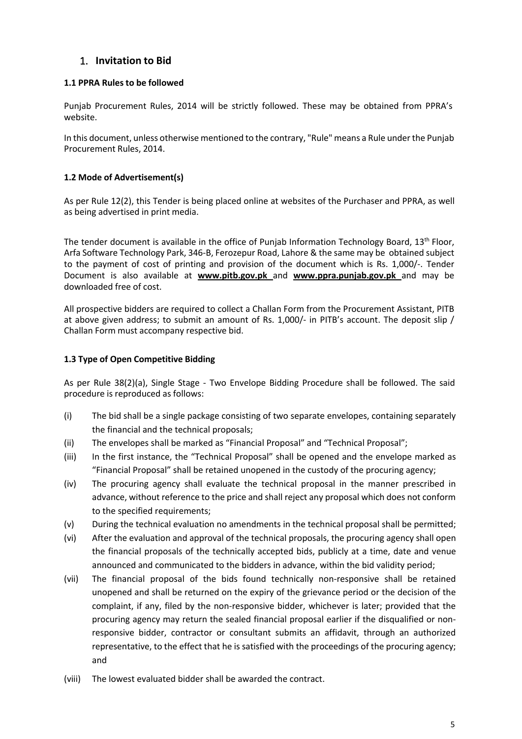# 1. **Invitation to Bid**

#### **1.1 PPRA Rules to be followed**

Punjab Procurement Rules, 2014 will be strictly followed. These may be obtained from PPRA's website.

In this document, unless otherwise mentioned to the contrary, "Rule" means a Rule under the Punjab Procurement Rules, 2014.

#### **1.2 Mode of Advertisement(s)**

As per Rule 12(2), this Tender is being placed online at websites of the Purchaser and PPRA, as well as being advertised in print media.

The tender document is available in the office of Punjab Information Technology Board,  $13<sup>th</sup>$  Floor, Arfa Software Technology Park, 346-B, Ferozepur Road, Lahore & the same may be obtained subject to the payment of cost of printing and provision of the document which is Rs. 1,000/-. Tender Document is also available at **www.pitb.gov.pk** and **www.ppra.punjab.gov.pk** and may be downloaded free of cost.

All prospective bidders are required to collect a Challan Form from the Procurement Assistant, PITB at above given address; to submit an amount of Rs. 1,000/- in PITB's account. The deposit slip / Challan Form must accompany respective bid.

#### **1.3 Type of Open Competitive Bidding**

As per Rule 38(2)(a), Single Stage - Two Envelope Bidding Procedure shall be followed. The said procedure is reproduced as follows:

- (i) The bid shall be a single package consisting of two separate envelopes, containing separately the financial and the technical proposals;
- (ii) The envelopes shall be marked as "Financial Proposal" and "Technical Proposal";
- (iii) In the first instance, the "Technical Proposal" shall be opened and the envelope marked as "Financial Proposal" shall be retained unopened in the custody of the procuring agency;
- (iv) The procuring agency shall evaluate the technical proposal in the manner prescribed in advance, without reference to the price and shall reject any proposal which does not conform to the specified requirements;
- (v) During the technical evaluation no amendments in the technical proposal shall be permitted;
- (vi) After the evaluation and approval of the technical proposals, the procuring agency shall open the financial proposals of the technically accepted bids, publicly at a time, date and venue announced and communicated to the bidders in advance, within the bid validity period;
- (vii) The financial proposal of the bids found technically non-responsive shall be retained unopened and shall be returned on the expiry of the grievance period or the decision of the complaint, if any, filed by the non-responsive bidder, whichever is later; provided that the procuring agency may return the sealed financial proposal earlier if the disqualified or nonresponsive bidder, contractor or consultant submits an affidavit, through an authorized representative, to the effect that he is satisfied with the proceedings of the procuring agency; and
- (viii) The lowest evaluated bidder shall be awarded the contract.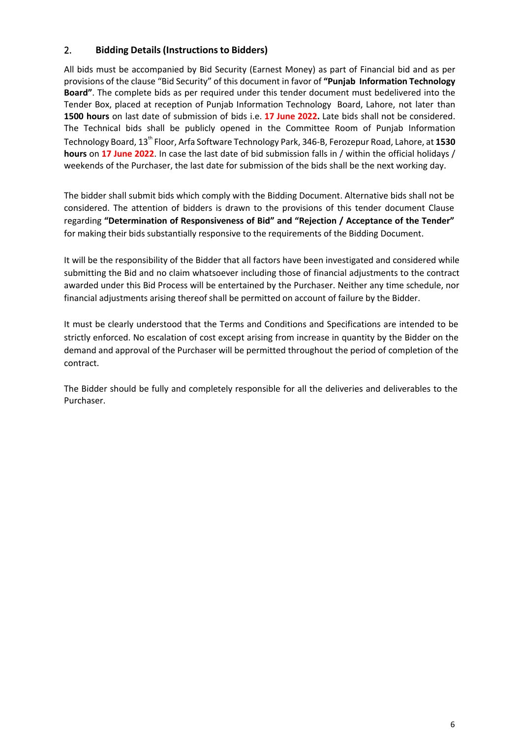# 2. **Bidding Details (Instructionsto Bidders)**

All bids must be accompanied by Bid Security (Earnest Money) as part of Financial bid and as per provisions of the clause "Bid Security" of this document in favor of **"Punjab Information Technology Board"**. The complete bids as per required under this tender document must bedelivered into the Tender Box, placed at reception of Punjab Information Technology Board, Lahore, not later than **1500 hours** on last date of submission of bids i.e. **17 June 2022.** Late bids shall not be considered. The Technical bids shall be publicly opened in the Committee Room of Punjab Information Technology Board, 13th Floor, Arfa Software Technology Park, 346-B, Ferozepur Road, Lahore, at **1530 hours** on **17 June 2022**. In case the last date of bid submission falls in / within the official holidays / weekends of the Purchaser, the last date for submission of the bids shall be the next working day.

The bidder shall submit bids which comply with the Bidding Document. Alternative bids shall not be considered. The attention of bidders is drawn to the provisions of this tender document Clause regarding **"Determination of Responsiveness of Bid" and "Rejection / Acceptance of the Tender"** for making their bids substantially responsive to the requirements of the Bidding Document.

It will be the responsibility of the Bidder that all factors have been investigated and considered while submitting the Bid and no claim whatsoever including those of financial adjustments to the contract awarded under this Bid Process will be entertained by the Purchaser. Neither any time schedule, nor financial adjustments arising thereof shall be permitted on account of failure by the Bidder.

It must be clearly understood that the Terms and Conditions and Specifications are intended to be strictly enforced. No escalation of cost except arising from increase in quantity by the Bidder on the demand and approval of the Purchaser will be permitted throughout the period of completion of the contract.

The Bidder should be fully and completely responsible for all the deliveries and deliverables to the Purchaser.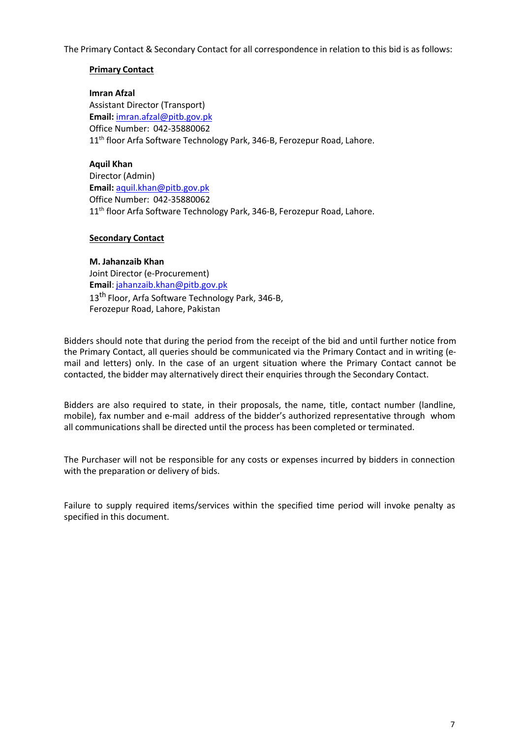The Primary Contact & Secondary Contact for all correspondence in relation to this bid is as follows:

#### **Primary Contact**

**Imran Afzal**

Assistant Director (Transport) **Email:** imran.afzal@pitb.gov.pk Office Number: 042-35880062 11<sup>th</sup> floor Arfa Software Technology Park, 346-B, Ferozepur Road, Lahore.

#### **Aquil Khan**

Director (Admin) **Email:** aquil.khan@pitb.gov.pk Office Number: 042-35880062 11<sup>th</sup> floor Arfa Software Technology Park, 346-B, Ferozepur Road, Lahore.

#### **Secondary Contact**

**M. Jahanzaib Khan**

Joint Director (e-Procurement) **Email**: jahanzaib.khan@pitb.gov.pk 13<sup>th</sup> Floor, Arfa Software Technology Park, 346-B. Ferozepur Road, Lahore, Pakistan

Bidders should note that during the period from the receipt of the bid and until further notice from the Primary Contact, all queries should be communicated via the Primary Contact and in writing (email and letters) only. In the case of an urgent situation where the Primary Contact cannot be contacted, the bidder may alternatively direct their enquiries through the Secondary Contact.

Bidders are also required to state, in their proposals, the name, title, contact number (landline, mobile), fax number and e-mail address of the bidder's authorized representative through whom all communications shall be directed until the process has been completed or terminated.

The Purchaser will not be responsible for any costs or expenses incurred by bidders in connection with the preparation or delivery of bids.

Failure to supply required items/services within the specified time period will invoke penalty as specified in this document.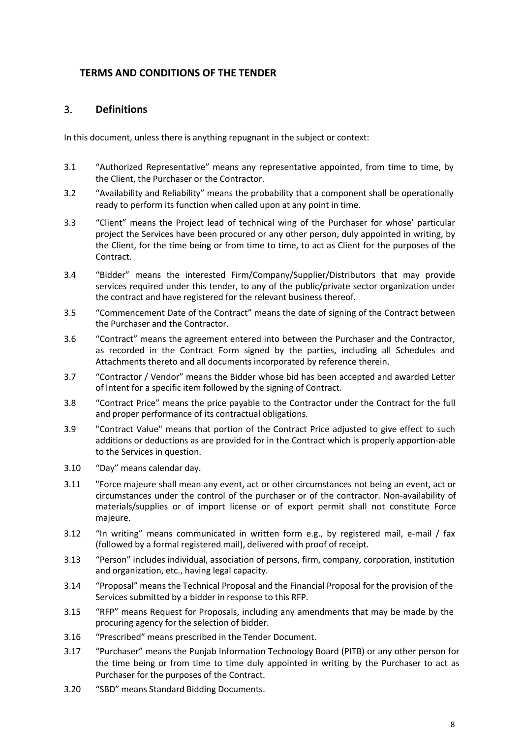# **TERMS AND CONDITIONS OF THE TENDER**

# 3. **Definitions**

In this document, unless there is anything repugnant in the subject or context:

- 3.1 "Authorized Representative" means any representative appointed, from time to time, by the Client, the Purchaser or the Contractor.
- 3.2 "Availability and Reliability" means the probability that a component shall be operationally ready to perform its function when called upon at any point in time.
- 3.3 "Client" means the Project lead of technical wing of the Purchaser for whose' particular project the Services have been procured or any other person, duly appointed in writing, by the Client, for the time being or from time to time, to act as Client for the purposes of the Contract.
- 3.4 "Bidder" means the interested Firm/Company/Supplier/Distributors that may provide services required under this tender, to any of the public/private sector organization under the contract and have registered for the relevant business thereof.
- 3.5 "Commencement Date of the Contract" means the date of signing of the Contract between the Purchaser and the Contractor.
- 3.6 "Contract" means the agreement entered into between the Purchaser and the Contractor, as recorded in the Contract Form signed by the parties, including all Schedules and Attachments thereto and all documents incorporated by reference therein.
- 3.7 "Contractor / Vendor" means the Bidder whose bid has been accepted and awarded Letter of Intent for a specific item followed by the signing of Contract.
- 3.8 "Contract Price" means the price payable to the Contractor under the Contract for the full and proper performance of its contractual obligations.
- 3.9 "Contract Value" means that portion of the Contract Price adjusted to give effect to such additions or deductions as are provided for in the Contract which is properly apportion-able to the Services in question.
- 3.10 "Day" means calendar day.
- 3.11 "Force majeure shall mean any event, act or other circumstances not being an event, act or circumstances under the control of the purchaser or of the contractor. Non-availability of materials/supplies or of import license or of export permit shall not constitute Force majeure.
- 3.12 "In writing" means communicated in written form e.g., by registered mail, e-mail / fax (followed by a formal registered mail), delivered with proof of receipt.
- 3.13 "Person" includes individual, association of persons, firm, company, corporation, institution and organization, etc., having legal capacity.
- 3.14 "Proposal" means the Technical Proposal and the Financial Proposal for the provision of the Services submitted by a bidder in response to this RFP.
- 3.15 "RFP" means Request for Proposals, including any amendments that may be made by the procuring agency for the selection of bidder.
- 3.16 "Prescribed" means prescribed in the Tender Document.
- 3.17 "Purchaser" means the Punjab Information Technology Board (PITB) or any other person for the time being or from time to time duly appointed in writing by the Purchaser to act as Purchaser for the purposes of the Contract.
- 3.20 "SBD" means Standard Bidding Documents.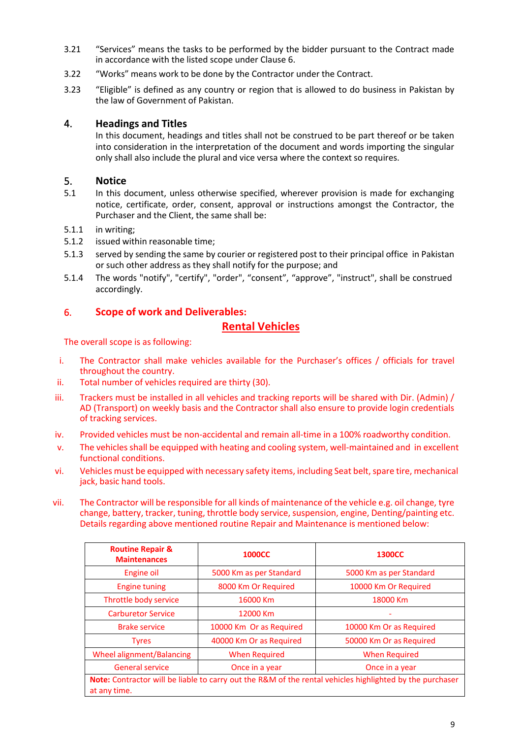- 3.21 "Services" means the tasks to be performed by the bidder pursuant to the Contract made in accordance with the listed scope under Clause 6.
- 3.22 "Works" means work to be done by the Contractor under the Contract.
- 3.23 "Eligible" is defined as any country or region that is allowed to do business in Pakistan by the law of Government of Pakistan.

#### 4. **Headings and Titles**

In this document, headings and titles shall not be construed to be part thereof or be taken into consideration in the interpretation of the document and words importing the singular only shall also include the plural and vice versa where the context so requires.

#### 5. **Notice**

- 5.1 In this document, unless otherwise specified, wherever provision is made for exchanging notice, certificate, order, consent, approval or instructions amongst the Contractor, the Purchaser and the Client, the same shall be:
- 5.1.1 in writing;
- 5.1.2 issued within reasonable time;
- 5.1.3 served by sending the same by courier or registered post to their principal office in Pakistan or such other address as they shall notify for the purpose; and
- 5.1.4 The words "notify", "certify", "order", "consent", "approve", "instruct", shall be construed accordingly.

#### 6. **Scope of work and Deliverables:**

# **Rental Vehicles**

The overall scope is as following:

- i. The Contractor shall make vehicles available for the Purchaser's offices / officials for travel throughout the country.
- ii. Total number of vehicles required are thirty (30).
- iii. Trackers must be installed in all vehicles and tracking reports will be shared with Dir. (Admin) / AD (Transport) on weekly basis and the Contractor shall also ensure to provide login credentials of tracking services.
- iv. Provided vehicles must be non-accidental and remain all-time in a 100% roadworthy condition.
- v. The vehicles shall be equipped with heating and cooling system, well-maintained and in excellent functional conditions.
- vi. Vehicles must be equipped with necessary safety items, including Seat belt, spare tire, mechanical jack, basic hand tools.
- vii. The Contractor will be responsible for all kinds of maintenance of the vehicle e.g. oil change, tyre change, battery, tracker, tuning, throttle body service, suspension, engine, Denting/painting etc. Details regarding above mentioned routine Repair and Maintenance is mentioned below:

| <b>Routine Repair &amp;</b><br><b>Maintenances</b>                                                                       | <b>1000CC</b>           | <b>1300CC</b>           |  |  |
|--------------------------------------------------------------------------------------------------------------------------|-------------------------|-------------------------|--|--|
| Engine oil                                                                                                               | 5000 Km as per Standard | 5000 Km as per Standard |  |  |
| <b>Engine tuning</b>                                                                                                     | 8000 Km Or Required     | 10000 Km Or Required    |  |  |
| Throttle body service                                                                                                    | 16000 Km                | 18000 Km                |  |  |
| <b>Carburetor Service</b>                                                                                                | 12000 Km                |                         |  |  |
| <b>Brake service</b>                                                                                                     | 10000 Km Or as Required | 10000 Km Or as Required |  |  |
| <b>Tyres</b>                                                                                                             | 40000 Km Or as Required | 50000 Km Or as Required |  |  |
| <b>Wheel alignment/Balancing</b>                                                                                         | <b>When Required</b>    | <b>When Required</b>    |  |  |
| <b>General service</b>                                                                                                   | Once in a year          | Once in a year          |  |  |
| Note: Contractor will be liable to carry out the R&M of the rental vehicles highlighted by the purchaser<br>at any time. |                         |                         |  |  |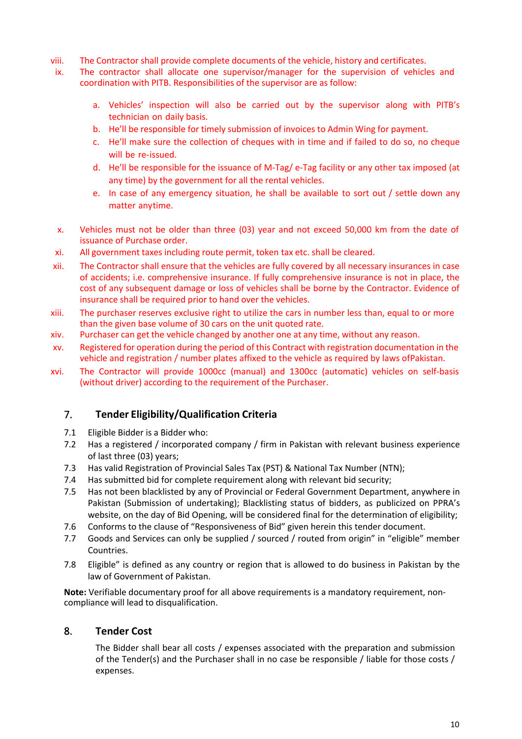- viii. The Contractor shall provide complete documents of the vehicle, history and certificates.
- ix. The contractor shall allocate one supervisor/manager for the supervision of vehicles and coordination with PITB. Responsibilities of the supervisor are as follow:
	- a. Vehicles' inspection will also be carried out by the supervisor along with PITB's technician on daily basis.
	- b. He'll be responsible for timely submission of invoices to Admin Wing for payment.
	- c. He'll make sure the collection of cheques with in time and if failed to do so, no cheque will be re-issued.
	- d. He'll be responsible for the issuance of M-Tag/ e-Tag facility or any other tax imposed (at any time) by the government for all the rental vehicles.
	- e. In case of any emergency situation, he shall be available to sort out / settle down any matter anytime.
- x. Vehicles must not be older than three (03) year and not exceed 50,000 km from the date of issuance of Purchase order.
- xi. All government taxes including route permit, token tax etc. shall be cleared.
- xii. The Contractor shall ensure that the vehicles are fully covered by all necessary insurances in case of accidents; i.e. comprehensive insurance. If fully comprehensive insurance is not in place, the cost of any subsequent damage or loss of vehicles shall be borne by the Contractor. Evidence of insurance shall be required prior to hand over the vehicles.
- xiii. The purchaser reserves exclusive right to utilize the cars in number less than, equal to or more than the given base volume of 30 cars on the unit quoted rate.
- xiv. Purchaser can get the vehicle changed by another one at any time, without any reason.
- xv. Registered for operation during the period of this Contract with registration documentation in the vehicle and registration / number plates affixed to the vehicle as required by laws ofPakistan.
- xvi. The Contractor will provide 1000cc (manual) and 1300cc (automatic) vehicles on self-basis (without driver) according to the requirement of the Purchaser.

# 7. **Tender Eligibility/Qualification Criteria**

- 7.1 Eligible Bidder is a Bidder who:
- 7.2 Has a registered / incorporated company / firm in Pakistan with relevant business experience of last three (03) years;
- 7.3 Has valid Registration of Provincial Sales Tax (PST) & National Tax Number (NTN);
- 7.4 Has submitted bid for complete requirement along with relevant bid security;
- 7.5 Has not been blacklisted by any of Provincial or Federal Government Department, anywhere in Pakistan (Submission of undertaking); Blacklisting status of bidders, as publicized on PPRA's website, on the day of Bid Opening, will be considered final for the determination of eligibility;
- 7.6 Conforms to the clause of "Responsiveness of Bid" given herein this tender document.
- 7.7 Goods and Services can only be supplied / sourced / routed from origin" in "eligible" member Countries.
- 7.8 Eligible" is defined as any country or region that is allowed to do business in Pakistan by the law of Government of Pakistan.

**Note:** Verifiable documentary proof for all above requirements is a mandatory requirement, noncompliance will lead to disqualification.

# 8. **Tender Cost**

The Bidder shall bear all costs / expenses associated with the preparation and submission of the Tender(s) and the Purchaser shall in no case be responsible / liable for those costs / expenses.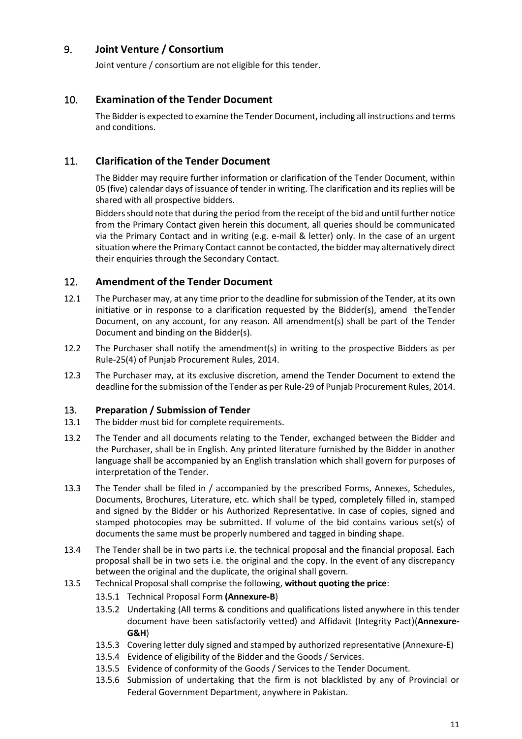# 9. **Joint Venture / Consortium**

Joint venture / consortium are not eligible for this tender.

# 10. **Examination of the Tender Document**

The Bidder is expected to examine the Tender Document, including all instructions and terms and conditions.

# 11. **Clarification of the Tender Document**

The Bidder may require further information or clarification of the Tender Document, within 05 (five) calendar days of issuance of tender in writing. The clarification and its replies will be shared with all prospective bidders.

Bidders should note that during the period from the receipt of the bid and until further notice from the Primary Contact given herein this document, all queries should be communicated via the Primary Contact and in writing (e.g. e-mail & letter) only. In the case of an urgent situation where the Primary Contact cannot be contacted, the bidder may alternatively direct their enquiries through the Secondary Contact.

# 12. **Amendment of the Tender Document**

- 12.1 The Purchaser may, at any time prior to the deadline for submission of the Tender, at its own initiative or in response to a clarification requested by the Bidder(s), amend theTender Document, on any account, for any reason. All amendment(s) shall be part of the Tender Document and binding on the Bidder(s).
- 12.2 The Purchaser shall notify the amendment(s) in writing to the prospective Bidders as per Rule-25(4) of Punjab Procurement Rules, 2014.
- 12.3 The Purchaser may, at its exclusive discretion, amend the Tender Document to extend the deadline for the submission of the Tender as per Rule-29 of Punjab Procurement Rules, 2014.

# 13. **Preparation / Submission of Tender**

- 13.1 The bidder must bid for complete requirements.
- 13.2 The Tender and all documents relating to the Tender, exchanged between the Bidder and the Purchaser, shall be in English. Any printed literature furnished by the Bidder in another language shall be accompanied by an English translation which shall govern for purposes of interpretation of the Tender.
- 13.3 The Tender shall be filed in / accompanied by the prescribed Forms, Annexes, Schedules, Documents, Brochures, Literature, etc. which shall be typed, completely filled in, stamped and signed by the Bidder or his Authorized Representative. In case of copies, signed and stamped photocopies may be submitted. If volume of the bid contains various set(s) of documents the same must be properly numbered and tagged in binding shape.
- 13.4 The Tender shall be in two parts i.e. the technical proposal and the financial proposal. Each proposal shall be in two sets i.e. the original and the copy. In the event of any discrepancy between the original and the duplicate, the original shall govern.
- 13.5 Technical Proposal shall comprise the following, **without quoting the price**:
	- 13.5.1 Technical Proposal Form **(Annexure-B**)
	- 13.5.2 Undertaking (All terms & conditions and qualifications listed anywhere in this tender document have been satisfactorily vetted) and Affidavit (Integrity Pact)(**Annexure-G&H**)
	- 13.5.3 Covering letter duly signed and stamped by authorized representative (Annexure-E)
	- 13.5.4 Evidence of eligibility of the Bidder and the Goods / Services.
	- 13.5.5 Evidence of conformity of the Goods / Services to the Tender Document.
	- 13.5.6 Submission of undertaking that the firm is not blacklisted by any of Provincial or Federal Government Department, anywhere in Pakistan.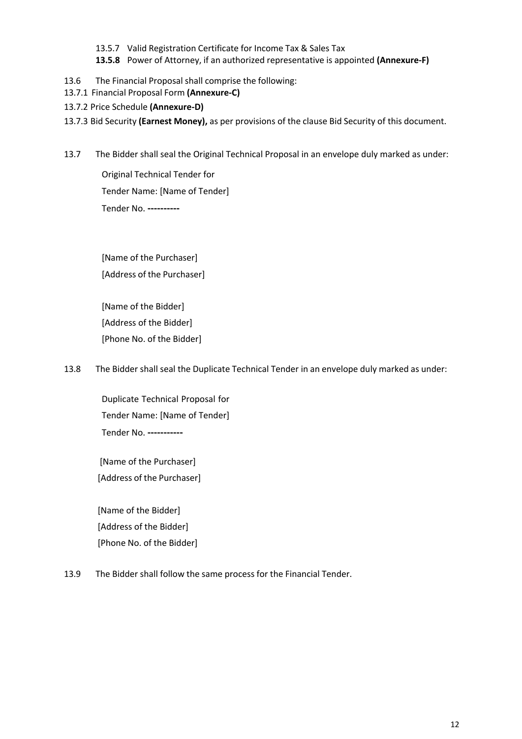- 13.5.7 Valid Registration Certificate for Income Tax & Sales Tax
- **13.5.8** Power of Attorney, if an authorized representative is appointed **(Annexure-F)**
- 13.6 The Financial Proposal shall comprise the following:
- 13.7.1 Financial Proposal Form **(Annexure-C)**
- 13.7.2 Price Schedule **(Annexure-D)**
- 13.7.3 Bid Security **(Earnest Money),** as per provisions of the clause Bid Security of this document.
- 13.7 The Bidder shall seal the Original Technical Proposal in an envelope duly marked as under:

Original Technical Tender for Tender Name: [Name of Tender] Tender No. **----------**

[Name of the Purchaser] [Address of the Purchaser]

[Name of the Bidder] [Address of the Bidder] [Phone No. of the Bidder]

13.8 The Bidder shall seal the Duplicate Technical Tender in an envelope duly marked as under:

Duplicate Technical Proposal for Tender Name: [Name of Tender] Tender No. **-----------**

[Name of the Purchaser] [Address of the Purchaser]

[Name of the Bidder] [Address of the Bidder] [Phone No. of the Bidder]

13.9 The Bidder shall follow the same process for the Financial Tender.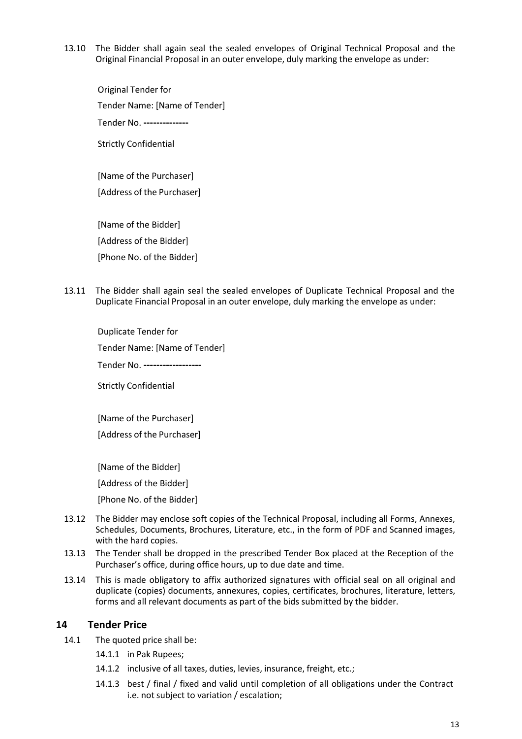13.10 The Bidder shall again seal the sealed envelopes of Original Technical Proposal and the Original Financial Proposal in an outer envelope, duly marking the envelope as under:

Original Tender for Tender Name: [Name of Tender] Tender No. **--------------** Strictly Confidential [Name of the Purchaser]

[Address of the Purchaser]

[Name of the Bidder] [Address of the Bidder] [Phone No. of the Bidder]

13.11 The Bidder shall again seal the sealed envelopes of Duplicate Technical Proposal and the Duplicate Financial Proposal in an outer envelope, duly marking the envelope as under:

Duplicate Tender for Tender Name: [Name of Tender] Tender No. **------------------** Strictly Confidential

[Name of the Purchaser] [Address of the Purchaser]

[Name of the Bidder] [Address of the Bidder] [Phone No. of the Bidder]

- 13.12 The Bidder may enclose soft copies of the Technical Proposal, including all Forms, Annexes, Schedules, Documents, Brochures, Literature, etc., in the form of PDF and Scanned images, with the hard copies.
- 13.13 The Tender shall be dropped in the prescribed Tender Box placed at the Reception of the Purchaser's office, during office hours, up to due date and time.
- 13.14 This is made obligatory to affix authorized signatures with official seal on all original and duplicate (copies) documents, annexures, copies, certificates, brochures, literature, letters, forms and all relevant documents as part of the bids submitted by the bidder.

#### **14 Tender Price**

- 14.1 The quoted price shall be:
	- 14.1.1 in Pak Rupees;
	- 14.1.2 inclusive of all taxes, duties, levies, insurance, freight, etc.;
	- 14.1.3 best / final / fixed and valid until completion of all obligations under the Contract i.e. not subject to variation / escalation;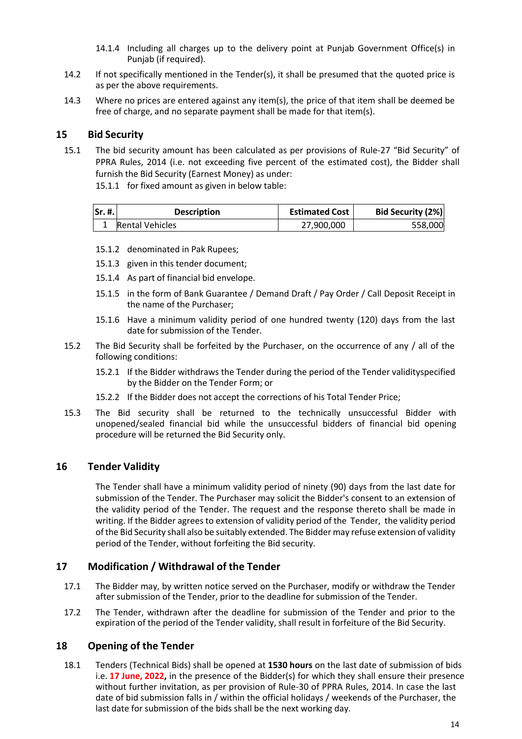- 14.1.4 Including all charges up to the delivery point at Punjab Government Office(s) in Puniab (if required).
- 14.2 If not specifically mentioned in the Tender(s), it shall be presumed that the quoted price is as per the above requirements.
- 14.3 Where no prices are entered against any item(s), the price of that item shall be deemed be free of charge, and no separate payment shall be made for that item(s).

#### **15 Bid Security**

- 15.1 The bid security amount has been calculated as per provisions of Rule-27 "Bid Security" of PPRA Rules, 2014 (i.e. not exceeding five percent of the estimated cost), the Bidder shall furnish the Bid Security (Earnest Money) as under:
	- 15.1.1 for fixed amount as given in below table:

| $\mathsf{Sr}, \mathsf{\#}, \mathsf{I}$ | <b>Description</b>     | <b>Estimated Cost</b> | <b>Bid Security (2%)</b> |
|----------------------------------------|------------------------|-----------------------|--------------------------|
|                                        | <b>Rental Vehicles</b> | 27.900.000            | 558,000                  |

- 15.1.2 denominated in Pak Rupees;
- 15.1.3 given in this tender document;
- 15.1.4 As part of financial bid envelope.
- 15.1.5 in the form of Bank Guarantee / Demand Draft / Pay Order / Call Deposit Receipt in the name of the Purchaser;
- 15.1.6 Have a minimum validity period of one hundred twenty (120) days from the last date for submission of the Tender.
- 15.2 The Bid Security shall be forfeited by the Purchaser, on the occurrence of any / all of the following conditions:
	- 15.2.1 If the Bidder withdraws the Tender during the period of the Tender validityspecified by the Bidder on the Tender Form; or
	- 15.2.2 If the Bidder does not accept the corrections of his Total Tender Price;
- 15.3 The Bid security shall be returned to the technically unsuccessful Bidder with unopened/sealed financial bid while the unsuccessful bidders of financial bid opening procedure will be returned the Bid Security only.

#### **16 Tender Validity**

The Tender shall have a minimum validity period of ninety (90) days from the last date for submission of the Tender. The Purchaser may solicit the Bidder's consent to an extension of the validity period of the Tender. The request and the response thereto shall be made in writing. If the Bidder agrees to extension of validity period of the Tender, the validity period of the Bid Security shall also be suitably extended. The Bidder may refuse extension of validity period of the Tender, without forfeiting the Bid security.

#### **17 Modification / Withdrawal of the Tender**

- 17.1 The Bidder may, by written notice served on the Purchaser, modify or withdraw the Tender after submission of the Tender, prior to the deadline for submission of the Tender.
- 17.2 The Tender, withdrawn after the deadline for submission of the Tender and prior to the expiration of the period of the Tender validity, shall result in forfeiture of the Bid Security.

#### **18 Opening of the Tender**

18.1 Tenders (Technical Bids) shall be opened at **1530 hours** on the last date of submission of bids i.e. **17 June, 2022,** in the presence of the Bidder(s) for which they shall ensure their presence without further invitation, as per provision of Rule-30 of PPRA Rules, 2014. In case the last date of bid submission falls in / within the official holidays / weekends of the Purchaser, the last date for submission of the bids shall be the next working day.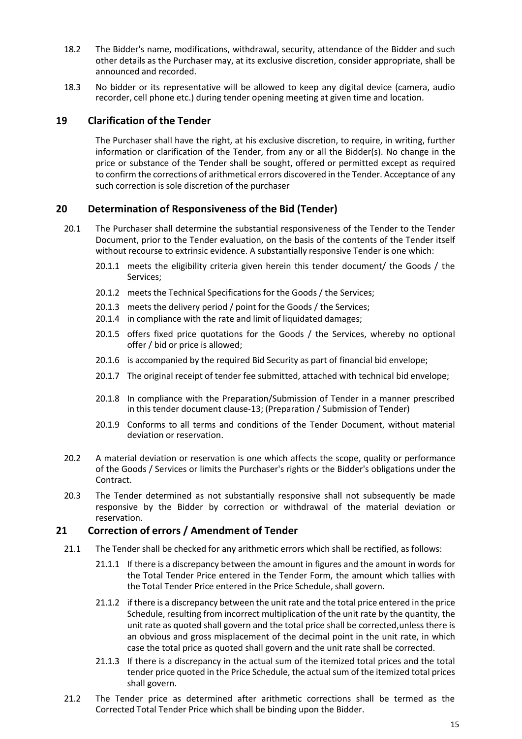- 18.2 The Bidder's name, modifications, withdrawal, security, attendance of the Bidder and such other details as the Purchaser may, at its exclusive discretion, consider appropriate, shall be announced and recorded.
- 18.3 No bidder or its representative will be allowed to keep any digital device (camera, audio recorder, cell phone etc.) during tender opening meeting at given time and location.

## **19 Clarification of the Tender**

The Purchaser shall have the right, at his exclusive discretion, to require, in writing, further information or clarification of the Tender, from any or all the Bidder(s). No change in the price or substance of the Tender shall be sought, offered or permitted except as required to confirm the corrections of arithmetical errors discovered in the Tender. Acceptance of any such correction is sole discretion of the purchaser

# **20 Determination of Responsiveness of the Bid (Tender)**

- 20.1 The Purchaser shall determine the substantial responsiveness of the Tender to the Tender Document, prior to the Tender evaluation, on the basis of the contents of the Tender itself without recourse to extrinsic evidence. A substantially responsive Tender is one which:
	- 20.1.1 meets the eligibility criteria given herein this tender document/ the Goods / the Services;
	- 20.1.2 meets the Technical Specifications for the Goods / the Services;
	- 20.1.3 meets the delivery period / point for the Goods / the Services;
	- 20.1.4 in compliance with the rate and limit of liquidated damages;
	- 20.1.5 offers fixed price quotations for the Goods / the Services, whereby no optional offer / bid or price is allowed;
	- 20.1.6 is accompanied by the required Bid Security as part of financial bid envelope;
	- 20.1.7 The original receipt of tender fee submitted, attached with technical bid envelope;
	- 20.1.8 In compliance with the Preparation/Submission of Tender in a manner prescribed in this tender document clause-13; (Preparation / Submission of Tender)
	- 20.1.9 Conforms to all terms and conditions of the Tender Document, without material deviation or reservation.
- 20.2 A material deviation or reservation is one which affects the scope, quality or performance of the Goods / Services or limits the Purchaser's rights or the Bidder's obligations under the Contract.
- 20.3 The Tender determined as not substantially responsive shall not subsequently be made responsive by the Bidder by correction or withdrawal of the material deviation or reservation.

# **21 Correction of errors / Amendment of Tender**

- 21.1 The Tender shall be checked for any arithmetic errors which shall be rectified, as follows:
	- 21.1.1 If there is a discrepancy between the amount in figures and the amount in words for the Total Tender Price entered in the Tender Form, the amount which tallies with the Total Tender Price entered in the Price Schedule, shall govern.
	- 21.1.2 if there is a discrepancy between the unit rate and the total price entered in the price Schedule, resulting from incorrect multiplication of the unit rate by the quantity, the unit rate as quoted shall govern and the total price shall be corrected,unless there is an obvious and gross misplacement of the decimal point in the unit rate, in which case the total price as quoted shall govern and the unit rate shall be corrected.
	- 21.1.3 If there is a discrepancy in the actual sum of the itemized total prices and the total tender price quoted in the Price Schedule, the actual sum of the itemized total prices shall govern.
- 21.2 The Tender price as determined after arithmetic corrections shall be termed as the Corrected Total Tender Price which shall be binding upon the Bidder.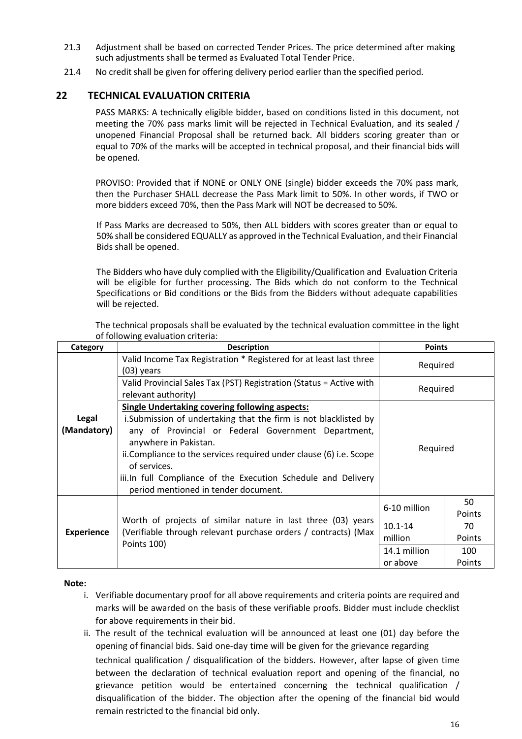- 21.3 Adjustment shall be based on corrected Tender Prices. The price determined after making such adjustments shall be termed as Evaluated Total Tender Price.
- 21.4 No credit shall be given for offering delivery period earlier than the specified period.

## **22 TECHNICAL EVALUATION CRITERIA**

PASS MARKS: A technically eligible bidder, based on conditions listed in this document, not meeting the 70% pass marks limit will be rejected in Technical Evaluation, and its sealed / unopened Financial Proposal shall be returned back. All bidders scoring greater than or equal to 70% of the marks will be accepted in technical proposal, and their financial bids will be opened.

PROVISO: Provided that if NONE or ONLY ONE (single) bidder exceeds the 70% pass mark, then the Purchaser SHALL decrease the Pass Mark limit to 50%. In other words, if TWO or more bidders exceed 70%, then the Pass Mark will NOT be decreased to 50%.

If Pass Marks are decreased to 50%, then ALL bidders with scores greater than or equal to 50% shall be considered EQUALLY as approved in the Technical Evaluation, and their Financial Bids shall be opened.

The Bidders who have duly complied with the Eligibility/Qualification and Evaluation Criteria will be eligible for further processing. The Bids which do not conform to the Technical Specifications or Bid conditions or the Bids from the Bidders without adequate capabilities will be rejected.

| Category             | <b>Description</b>                                                                                                                                                                                                                                                                                                                                                                                        | <b>Points</b>                |        |
|----------------------|-----------------------------------------------------------------------------------------------------------------------------------------------------------------------------------------------------------------------------------------------------------------------------------------------------------------------------------------------------------------------------------------------------------|------------------------------|--------|
|                      | Valid Income Tax Registration * Registered for at least last three<br>$(03)$ years                                                                                                                                                                                                                                                                                                                        | Required                     |        |
|                      | Valid Provincial Sales Tax (PST) Registration (Status = Active with<br>relevant authority)                                                                                                                                                                                                                                                                                                                | Required                     |        |
| Legal<br>(Mandatory) | <b>Single Undertaking covering following aspects:</b><br>i. Submission of undertaking that the firm is not blacklisted by<br>any of Provincial or Federal Government Department,<br>anywhere in Pakistan.<br>ii. Compliance to the services required under clause (6) i.e. Scope<br>of services.<br>iii.In full Compliance of the Execution Schedule and Delivery<br>period mentioned in tender document. | Required                     |        |
|                      |                                                                                                                                                                                                                                                                                                                                                                                                           | 50<br>6-10 million<br>Points |        |
|                      | Worth of projects of similar nature in last three (03) years                                                                                                                                                                                                                                                                                                                                              | $10.1 - 14$                  | 70     |
| <b>Experience</b>    | (Verifiable through relevant purchase orders / contracts) (Max<br>Points 100)                                                                                                                                                                                                                                                                                                                             | million<br>Points            |        |
|                      |                                                                                                                                                                                                                                                                                                                                                                                                           | 14.1 million                 | 100    |
|                      |                                                                                                                                                                                                                                                                                                                                                                                                           | or above                     | Points |

The technical proposals shall be evaluated by the technical evaluation committee in the light of following evaluation criteria:

#### **Note:**

- i. Verifiable documentary proof for all above requirements and criteria points are required and marks will be awarded on the basis of these verifiable proofs. Bidder must include checklist for above requirements in their bid.
- ii. The result of the technical evaluation will be announced at least one (01) day before the opening of financial bids. Said one-day time will be given for the grievance regarding technical qualification / disqualification of the bidders. However, after lapse of given time between the declaration of technical evaluation report and opening of the financial, no grievance petition would be entertained concerning the technical qualification / disqualification of the bidder. The objection after the opening of the financial bid would remain restricted to the financial bid only.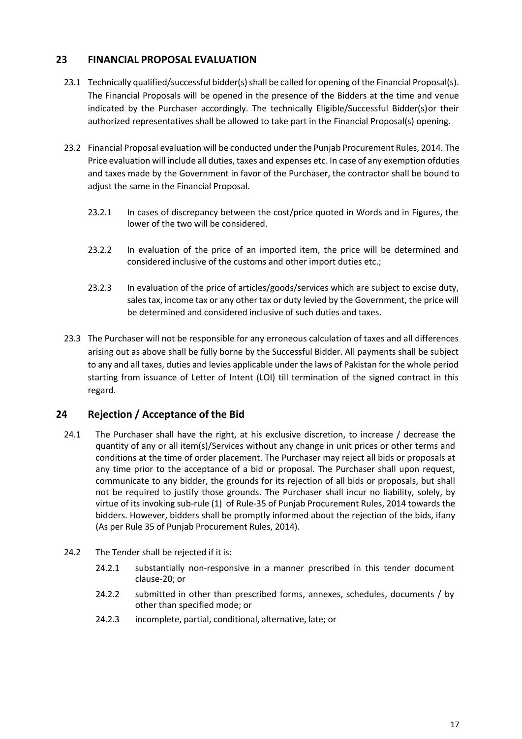# **23 FINANCIAL PROPOSAL EVALUATION**

- 23.1 Technically qualified/successful bidder(s) shall be called for opening of the Financial Proposal(s). The Financial Proposals will be opened in the presence of the Bidders at the time and venue indicated by the Purchaser accordingly. The technically Eligible/Successful Bidder(s)or their authorized representatives shall be allowed to take part in the Financial Proposal(s) opening.
- 23.2 Financial Proposal evaluation will be conducted under the Punjab Procurement Rules, 2014. The Price evaluation will include all duties, taxes and expenses etc. In case of any exemption ofduties and taxes made by the Government in favor of the Purchaser, the contractor shall be bound to adjust the same in the Financial Proposal.
	- 23.2.1 In cases of discrepancy between the cost/price quoted in Words and in Figures, the lower of the two will be considered.
	- 23.2.2 In evaluation of the price of an imported item, the price will be determined and considered inclusive of the customs and other import duties etc.;
	- 23.2.3 In evaluation of the price of articles/goods/services which are subject to excise duty, sales tax, income tax or any other tax or duty levied by the Government, the price will be determined and considered inclusive of such duties and taxes.
- 23.3 The Purchaser will not be responsible for any erroneous calculation of taxes and all differences arising out as above shall be fully borne by the Successful Bidder. All payments shall be subject to any and all taxes, duties and levies applicable under the laws of Pakistan for the whole period starting from issuance of Letter of Intent (LOI) till termination of the signed contract in this regard.

# **24 Rejection / Acceptance of the Bid**

- 24.1 The Purchaser shall have the right, at his exclusive discretion, to increase / decrease the quantity of any or all item(s)/Services without any change in unit prices or other terms and conditions at the time of order placement. The Purchaser may reject all bids or proposals at any time prior to the acceptance of a bid or proposal. The Purchaser shall upon request, communicate to any bidder, the grounds for its rejection of all bids or proposals, but shall not be required to justify those grounds. The Purchaser shall incur no liability, solely, by virtue of its invoking sub-rule (1) of Rule-35 of Punjab Procurement Rules, 2014 towards the bidders. However, bidders shall be promptly informed about the rejection of the bids, ifany (As per Rule 35 of Punjab Procurement Rules, 2014).
- 24.2 The Tender shall be rejected if it is:
	- 24.2.1 substantially non-responsive in a manner prescribed in this tender document clause-20; or
	- 24.2.2 submitted in other than prescribed forms, annexes, schedules, documents / by other than specified mode; or
	- 24.2.3 incomplete, partial, conditional, alternative, late; or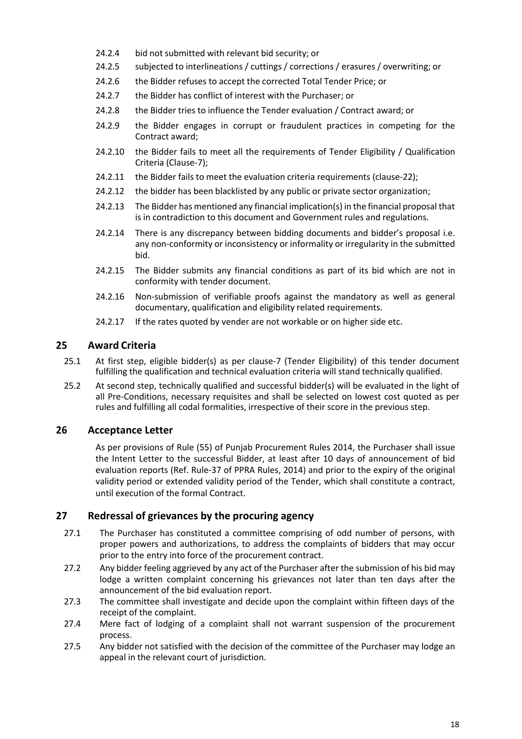- 24.2.4 bid not submitted with relevant bid security; or
- 24.2.5 subjected to interlineations / cuttings / corrections / erasures / overwriting; or
- 24.2.6 the Bidder refuses to accept the corrected Total Tender Price; or
- 24.2.7 the Bidder has conflict of interest with the Purchaser; or
- 24.2.8 the Bidder tries to influence the Tender evaluation / Contract award; or
- 24.2.9 the Bidder engages in corrupt or fraudulent practices in competing for the Contract award;
- 24.2.10 the Bidder fails to meet all the requirements of Tender Eligibility / Qualification Criteria (Clause-7);
- 24.2.11 the Bidder fails to meet the evaluation criteria requirements (clause-22);
- 24.2.12 the bidder has been blacklisted by any public or private sector organization;
- 24.2.13 The Bidder has mentioned any financial implication(s) in the financial proposal that is in contradiction to this document and Government rules and regulations.
- 24.2.14 There is any discrepancy between bidding documents and bidder's proposal i.e. any non-conformity or inconsistency or informality or irregularity in the submitted bid.
- 24.2.15 The Bidder submits any financial conditions as part of its bid which are not in conformity with tender document.
- 24.2.16 Non-submission of verifiable proofs against the mandatory as well as general documentary, qualification and eligibility related requirements.
- 24.2.17 If the rates quoted by vender are not workable or on higher side etc.

# **25 Award Criteria**

- 25.1 At first step, eligible bidder(s) as per clause-7 (Tender Eligibility) of this tender document fulfilling the qualification and technical evaluation criteria will stand technically qualified.
- 25.2 At second step, technically qualified and successful bidder(s) will be evaluated in the light of all Pre-Conditions, necessary requisites and shall be selected on lowest cost quoted as per rules and fulfilling all codal formalities, irrespective of their score in the previous step.

# **26 Acceptance Letter**

As per provisions of Rule (55) of Punjab Procurement Rules 2014, the Purchaser shall issue the Intent Letter to the successful Bidder, at least after 10 days of announcement of bid evaluation reports (Ref. Rule-37 of PPRA Rules, 2014) and prior to the expiry of the original validity period or extended validity period of the Tender, which shall constitute a contract, until execution of the formal Contract.

#### **27 Redressal of grievances by the procuring agency**

- 27.1 The Purchaser has constituted a committee comprising of odd number of persons, with proper powers and authorizations, to address the complaints of bidders that may occur prior to the entry into force of the procurement contract.
- 27.2 Any bidder feeling aggrieved by any act of the Purchaser after the submission of his bid may lodge a written complaint concerning his grievances not later than ten days after the announcement of the bid evaluation report.
- 27.3 The committee shall investigate and decide upon the complaint within fifteen days of the receipt of the complaint.
- 27.4 Mere fact of lodging of a complaint shall not warrant suspension of the procurement process.
- 27.5 Any bidder not satisfied with the decision of the committee of the Purchaser may lodge an appeal in the relevant court of jurisdiction.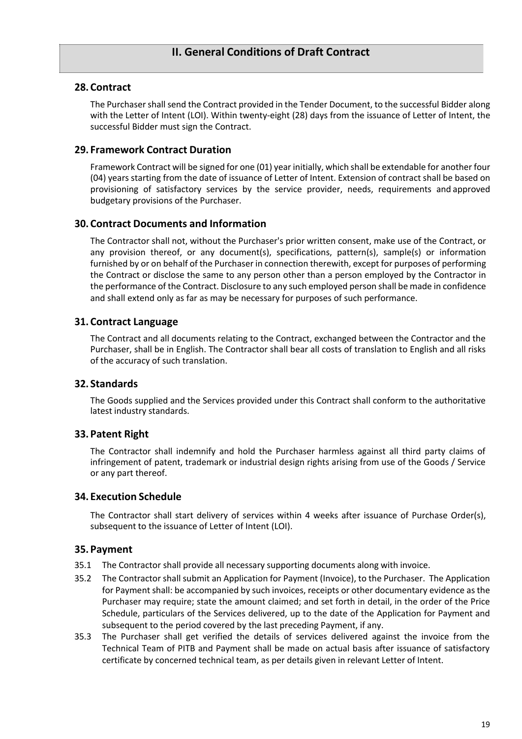# **28. Contract**

The Purchaser shall send the Contract provided in the Tender Document, to the successful Bidder along with the Letter of Intent (LOI). Within twenty-eight (28) days from the issuance of Letter of Intent, the successful Bidder must sign the Contract.

# **29. Framework Contract Duration**

Framework Contract will be signed for one (01) year initially, which shall be extendable for another four (04) years starting from the date of issuance of Letter of Intent. Extension of contract shall be based on provisioning of satisfactory services by the service provider, needs, requirements and approved budgetary provisions of the Purchaser.

# **30. Contract Documents and Information**

The Contractor shall not, without the Purchaser's prior written consent, make use of the Contract, or any provision thereof, or any document(s), specifications, pattern(s), sample(s) or information furnished by or on behalf of the Purchaser in connection therewith, except for purposes of performing the Contract or disclose the same to any person other than a person employed by the Contractor in the performance of the Contract. Disclosure to any such employed person shall be made in confidence and shall extend only as far as may be necessary for purposes of such performance.

# **31. Contract Language**

The Contract and all documents relating to the Contract, exchanged between the Contractor and the Purchaser, shall be in English. The Contractor shall bear all costs of translation to English and all risks of the accuracy of such translation.

# **32. Standards**

The Goods supplied and the Services provided under this Contract shall conform to the authoritative latest industry standards.

# **33. Patent Right**

The Contractor shall indemnify and hold the Purchaser harmless against all third party claims of infringement of patent, trademark or industrial design rights arising from use of the Goods / Service or any part thereof.

# **34. Execution Schedule**

The Contractor shall start delivery of services within 4 weeks after issuance of Purchase Order(s), subsequent to the issuance of Letter of Intent (LOI).

#### **35. Payment**

- 35.1 The Contractor shall provide all necessary supporting documents along with invoice.
- 35.2 The Contractor shall submit an Application for Payment (Invoice), to the Purchaser. The Application for Payment shall: be accompanied by such invoices, receipts or other documentary evidence as the Purchaser may require; state the amount claimed; and set forth in detail, in the order of the Price Schedule, particulars of the Services delivered, up to the date of the Application for Payment and subsequent to the period covered by the last preceding Payment, if any.
- 35.3 The Purchaser shall get verified the details of services delivered against the invoice from the Technical Team of PITB and Payment shall be made on actual basis after issuance of satisfactory certificate by concerned technical team, as per details given in relevant Letter of Intent.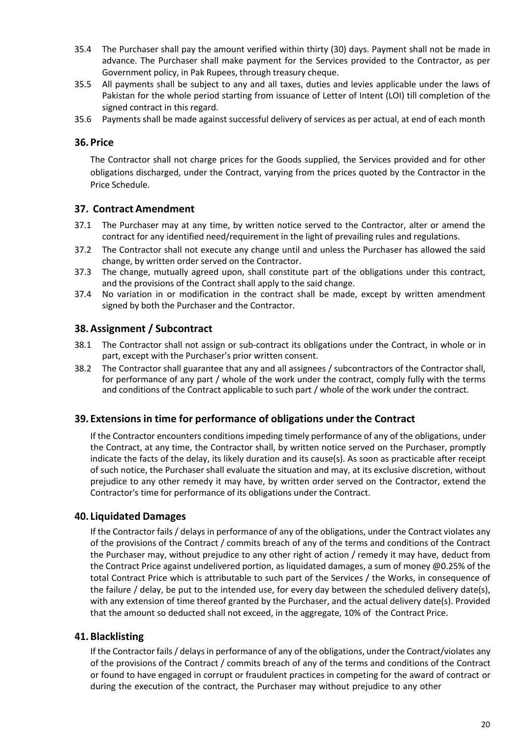- 35.4 The Purchaser shall pay the amount verified within thirty (30) days. Payment shall not be made in advance. The Purchaser shall make payment for the Services provided to the Contractor, as per Government policy, in Pak Rupees, through treasury cheque.
- 35.5 All payments shall be subject to any and all taxes, duties and levies applicable under the laws of Pakistan for the whole period starting from issuance of Letter of Intent (LOI) till completion of the signed contract in this regard.
- 35.6 Payments shall be made against successful delivery of services as per actual, at end of each month

## **36. Price**

The Contractor shall not charge prices for the Goods supplied, the Services provided and for other obligations discharged, under the Contract, varying from the prices quoted by the Contractor in the Price Schedule.

# **37. Contract Amendment**

- 37.1 The Purchaser may at any time, by written notice served to the Contractor, alter or amend the contract for any identified need/requirement in the light of prevailing rules and regulations.
- 37.2 The Contractor shall not execute any change until and unless the Purchaser has allowed the said change, by written order served on the Contractor.
- 37.3 The change, mutually agreed upon, shall constitute part of the obligations under this contract, and the provisions of the Contract shall apply to the said change.
- 37.4 No variation in or modification in the contract shall be made, except by written amendment signed by both the Purchaser and the Contractor.

# **38.Assignment / Subcontract**

- 38.1 The Contractor shall not assign or sub-contract its obligations under the Contract, in whole or in part, except with the Purchaser's prior written consent.
- 38.2 The Contractor shall guarantee that any and all assignees / subcontractors of the Contractor shall, for performance of any part / whole of the work under the contract, comply fully with the terms and conditions of the Contract applicable to such part / whole of the work under the contract.

#### **39. Extensions in time for performance of obligations under the Contract**

If the Contractor encounters conditions impeding timely performance of any of the obligations, under the Contract, at any time, the Contractor shall, by written notice served on the Purchaser, promptly indicate the facts of the delay, its likely duration and its cause(s). As soon as practicable after receipt of such notice, the Purchaser shall evaluate the situation and may, at its exclusive discretion, without prejudice to any other remedy it may have, by written order served on the Contractor, extend the Contractor's time for performance of its obligations under the Contract.

#### **40. Liquidated Damages**

If the Contractor fails / delays in performance of any of the obligations, under the Contract violates any of the provisions of the Contract / commits breach of any of the terms and conditions of the Contract the Purchaser may, without prejudice to any other right of action / remedy it may have, deduct from the Contract Price against undelivered portion, as liquidated damages, a sum of money @0.25% of the total Contract Price which is attributable to such part of the Services / the Works, in consequence of the failure / delay, be put to the intended use, for every day between the scheduled delivery date(s), with any extension of time thereof granted by the Purchaser, and the actual delivery date(s). Provided that the amount so deducted shall not exceed, in the aggregate, 10% of the Contract Price.

#### **41. Blacklisting**

If the Contractor fails / delays in performance of any of the obligations, under the Contract/violates any of the provisions of the Contract / commits breach of any of the terms and conditions of the Contract or found to have engaged in corrupt or fraudulent practices in competing for the award of contract or during the execution of the contract, the Purchaser may without prejudice to any other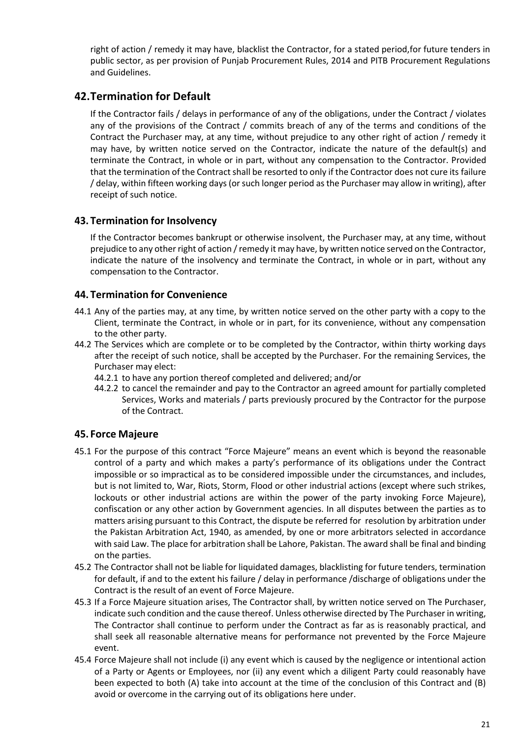right of action / remedy it may have, blacklist the Contractor, for a stated period,for future tenders in public sector, as per provision of Punjab Procurement Rules, 2014 and PITB Procurement Regulations and Guidelines.

# **42.Termination for Default**

If the Contractor fails / delays in performance of any of the obligations, under the Contract / violates any of the provisions of the Contract / commits breach of any of the terms and conditions of the Contract the Purchaser may, at any time, without prejudice to any other right of action / remedy it may have, by written notice served on the Contractor, indicate the nature of the default(s) and terminate the Contract, in whole or in part, without any compensation to the Contractor. Provided that the termination of the Contract shall be resorted to only if the Contractor does not cure its failure / delay, within fifteen working days (or such longer period as the Purchaser may allow in writing), after receipt of such notice.

# **43. Termination for Insolvency**

If the Contractor becomes bankrupt or otherwise insolvent, the Purchaser may, at any time, without prejudice to any other right of action / remedy it may have, by written notice served on the Contractor, indicate the nature of the insolvency and terminate the Contract, in whole or in part, without any compensation to the Contractor.

# **44. Termination for Convenience**

- 44.1 Any of the parties may, at any time, by written notice served on the other party with a copy to the Client, terminate the Contract, in whole or in part, for its convenience, without any compensation to the other party.
- 44.2 The Services which are complete or to be completed by the Contractor, within thirty working days after the receipt of such notice, shall be accepted by the Purchaser. For the remaining Services, the Purchaser may elect:
	- 44.2.1 to have any portion thereof completed and delivered; and/or
	- 44.2.2 to cancel the remainder and pay to the Contractor an agreed amount for partially completed Services, Works and materials / parts previously procured by the Contractor for the purpose of the Contract.

# **45. Force Majeure**

- 45.1 For the purpose of this contract "Force Majeure" means an event which is beyond the reasonable control of a party and which makes a party's performance of its obligations under the Contract impossible or so impractical as to be considered impossible under the circumstances, and includes, but is not limited to, War, Riots, Storm, Flood or other industrial actions (except where such strikes, lockouts or other industrial actions are within the power of the party invoking Force Majeure), confiscation or any other action by Government agencies. In all disputes between the parties as to matters arising pursuant to this Contract, the dispute be referred for resolution by arbitration under the Pakistan Arbitration Act, 1940, as amended, by one or more arbitrators selected in accordance with said Law. The place for arbitration shall be Lahore, Pakistan. The award shall be final and binding on the parties.
- 45.2 The Contractor shall not be liable for liquidated damages, blacklisting for future tenders, termination for default, if and to the extent his failure / delay in performance /discharge of obligations under the Contract is the result of an event of Force Majeure.
- 45.3 If a Force Majeure situation arises, The Contractor shall, by written notice served on The Purchaser, indicate such condition and the cause thereof. Unless otherwise directed by The Purchaser in writing, The Contractor shall continue to perform under the Contract as far as is reasonably practical, and shall seek all reasonable alternative means for performance not prevented by the Force Majeure event.
- 45.4 Force Majeure shall not include (i) any event which is caused by the negligence or intentional action of a Party or Agents or Employees, nor (ii) any event which a diligent Party could reasonably have been expected to both (A) take into account at the time of the conclusion of this Contract and (B) avoid or overcome in the carrying out of its obligations here under.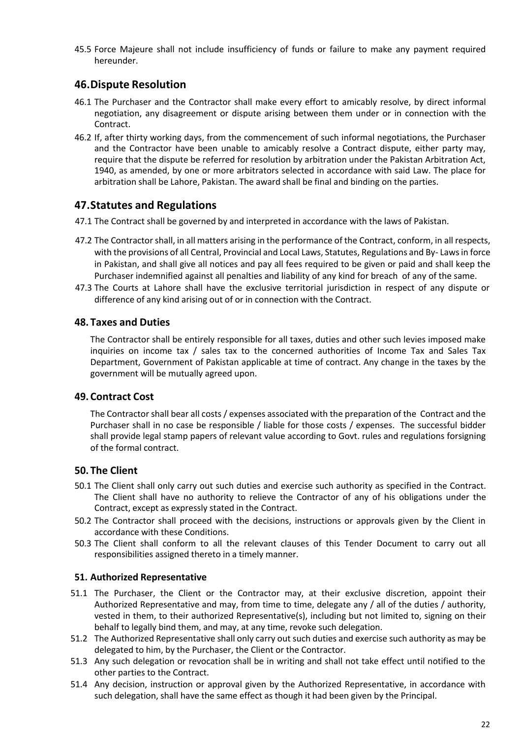45.5 Force Majeure shall not include insufficiency of funds or failure to make any payment required hereunder.

# **46.Dispute Resolution**

- 46.1 The Purchaser and the Contractor shall make every effort to amicably resolve, by direct informal negotiation, any disagreement or dispute arising between them under or in connection with the Contract.
- 46.2 If, after thirty working days, from the commencement of such informal negotiations, the Purchaser and the Contractor have been unable to amicably resolve a Contract dispute, either party may, require that the dispute be referred for resolution by arbitration under the Pakistan Arbitration Act, 1940, as amended, by one or more arbitrators selected in accordance with said Law. The place for arbitration shall be Lahore, Pakistan. The award shall be final and binding on the parties.

# **47.Statutes and Regulations**

- 47.1 The Contract shall be governed by and interpreted in accordance with the laws of Pakistan.
- 47.2 The Contractor shall, in all matters arising in the performance of the Contract, conform, in all respects, with the provisions of all Central, Provincial and Local Laws, Statutes, Regulations and By- Laws in force in Pakistan, and shall give all notices and pay all fees required to be given or paid and shall keep the Purchaser indemnified against all penalties and liability of any kind for breach of any of the same.
- 47.3 The Courts at Lahore shall have the exclusive territorial jurisdiction in respect of any dispute or difference of any kind arising out of or in connection with the Contract.

# **48. Taxes and Duties**

The Contractor shall be entirely responsible for all taxes, duties and other such levies imposed make inquiries on income tax / sales tax to the concerned authorities of Income Tax and Sales Tax Department, Government of Pakistan applicable at time of contract. Any change in the taxes by the government will be mutually agreed upon.

#### **49. Contract Cost**

The Contractor shall bear all costs / expenses associated with the preparation of the Contract and the Purchaser shall in no case be responsible / liable for those costs / expenses. The successful bidder shall provide legal stamp papers of relevant value according to Govt. rules and regulations forsigning of the formal contract.

# **50. The Client**

- 50.1 The Client shall only carry out such duties and exercise such authority as specified in the Contract. The Client shall have no authority to relieve the Contractor of any of his obligations under the Contract, except as expressly stated in the Contract.
- 50.2 The Contractor shall proceed with the decisions, instructions or approvals given by the Client in accordance with these Conditions.
- 50.3 The Client shall conform to all the relevant clauses of this Tender Document to carry out all responsibilities assigned thereto in a timely manner.

#### **51. Authorized Representative**

- 51.1 The Purchaser, the Client or the Contractor may, at their exclusive discretion, appoint their Authorized Representative and may, from time to time, delegate any / all of the duties / authority, vested in them, to their authorized Representative(s), including but not limited to, signing on their behalf to legally bind them, and may, at any time, revoke such delegation.
- 51.2 The Authorized Representative shall only carry out such duties and exercise such authority as may be delegated to him, by the Purchaser, the Client or the Contractor.
- 51.3 Any such delegation or revocation shall be in writing and shall not take effect until notified to the other parties to the Contract.
- 51.4 Any decision, instruction or approval given by the Authorized Representative, in accordance with such delegation, shall have the same effect as though it had been given by the Principal.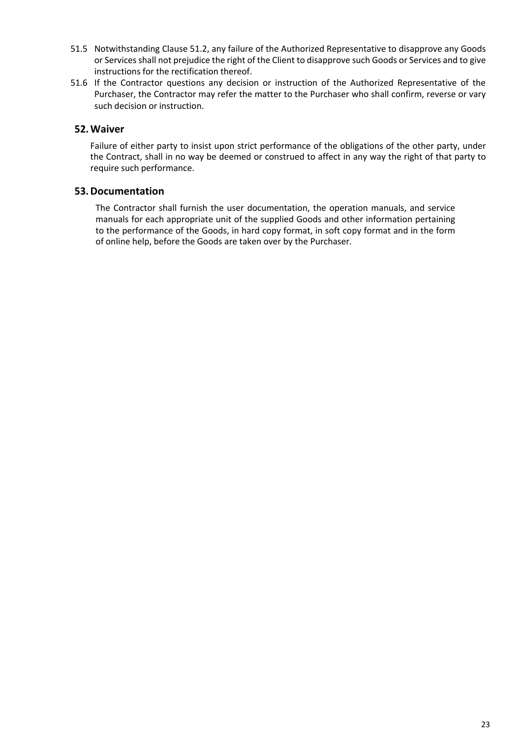- 51.5 Notwithstanding Clause 51.2, any failure of the Authorized Representative to disapprove any Goods or Services shall not prejudice the right of the Client to disapprove such Goods or Services and to give instructions for the rectification thereof.
- 51.6 If the Contractor questions any decision or instruction of the Authorized Representative of the Purchaser, the Contractor may refer the matter to the Purchaser who shall confirm, reverse or vary such decision or instruction.

# **52.Waiver**

Failure of either party to insist upon strict performance of the obligations of the other party, under the Contract, shall in no way be deemed or construed to affect in any way the right of that party to require such performance.

# **53.Documentation**

The Contractor shall furnish the user documentation, the operation manuals, and service manuals for each appropriate unit of the supplied Goods and other information pertaining to the performance of the Goods, in hard copy format, in soft copy format and in the form of online help, before the Goods are taken over by the Purchaser.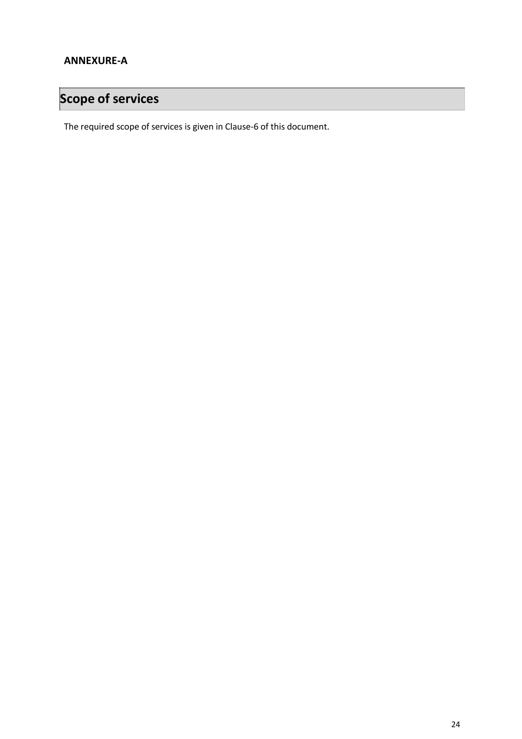# **Scope of services**

The required scope of services is given in Clause-6 of this document.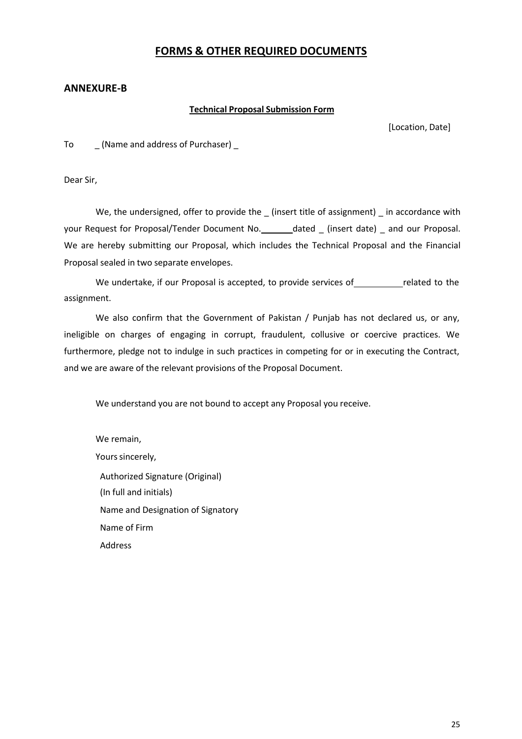# **FORMS & OTHER REQUIRED DOCUMENTS**

#### **ANNEXURE-B**

#### **Technical Proposal Submission Form**

[Location, Date]

To [Name and address of Purchaser]

Dear Sir,

We, the undersigned, offer to provide the \_ (insert title of assignment) \_ in accordance with your Request for Proposal/Tender Document No. \_\_\_\_\_\_ dated \_ (insert date) \_ and our Proposal. We are hereby submitting our Proposal, which includes the Technical Proposal and the Financial Proposal sealed in two separate envelopes.

We undertake, if our Proposal is accepted, to provide services of related to the assignment.

We also confirm that the Government of Pakistan / Punjab has not declared us, or any, ineligible on charges of engaging in corrupt, fraudulent, collusive or coercive practices. We furthermore, pledge not to indulge in such practices in competing for or in executing the Contract, and we are aware of the relevant provisions of the Proposal Document.

We understand you are not bound to accept any Proposal you receive.

We remain, Yours sincerely, Authorized Signature (Original) (In full and initials) Name and Designation of Signatory Name of Firm Address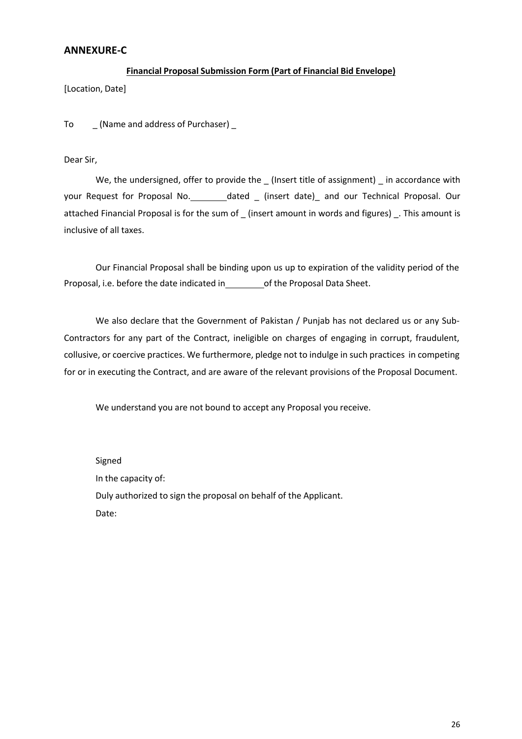#### **ANNEXURE-C**

#### **Financial Proposal Submission Form (Part of Financial Bid Envelope)**

[Location, Date]

To  $\sqrt{a}$  (Name and address of Purchaser) \_

Dear Sir,

We, the undersigned, offer to provide the (Insert title of assignment) in accordance with your Request for Proposal No. \_\_\_\_\_\_\_\_dated \_ (insert date)\_ and our Technical Proposal. Our attached Financial Proposal is for the sum of \_ (insert amount in words and figures) \_. This amount is inclusive of all taxes.

Our Financial Proposal shall be binding upon us up to expiration of the validity period of the Proposal, i.e. before the date indicated in \_\_\_\_\_\_ of the Proposal Data Sheet.

We also declare that the Government of Pakistan / Punjab has not declared us or any Sub-Contractors for any part of the Contract, ineligible on charges of engaging in corrupt, fraudulent, collusive, or coercive practices. We furthermore, pledge not to indulge in such practices in competing for or in executing the Contract, and are aware of the relevant provisions of the Proposal Document.

We understand you are not bound to accept any Proposal you receive.

Signed In the capacity of: Duly authorized to sign the proposal on behalf of the Applicant. Date: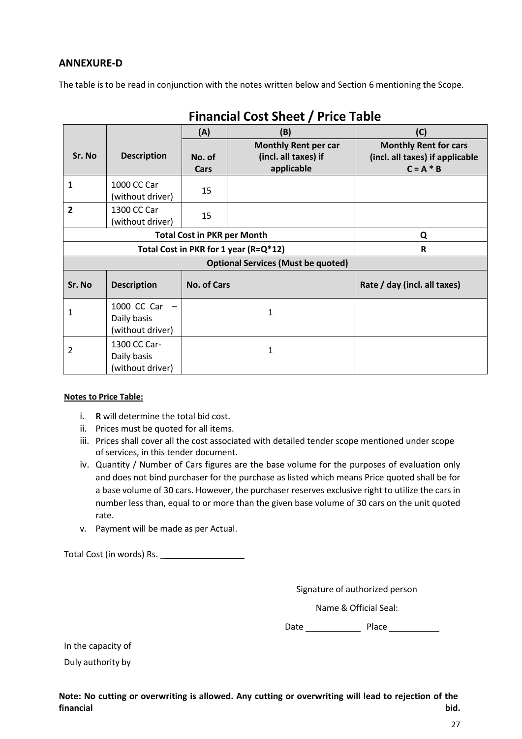# **ANNEXURE-D**

The table is to be read in conjunction with the notes written below and Section 6 mentioning the Scope.

| THURISIAN COST SHEET / THEE TADIC |                                                 |                                       |                                                                   |                                                                                |  |  |
|-----------------------------------|-------------------------------------------------|---------------------------------------|-------------------------------------------------------------------|--------------------------------------------------------------------------------|--|--|
|                                   |                                                 | (A)                                   | (B)                                                               | (C)                                                                            |  |  |
| Sr. No                            | <b>Description</b>                              | No. of<br>Cars                        | <b>Monthly Rent per car</b><br>(incl. all taxes) if<br>applicable | <b>Monthly Rent for cars</b><br>(incl. all taxes) if applicable<br>$C = A * B$ |  |  |
| 1                                 | 1000 CC Car<br>(without driver)                 | 15                                    |                                                                   |                                                                                |  |  |
| $\overline{2}$                    | 1300 CC Car<br>(without driver)                 | 15                                    |                                                                   |                                                                                |  |  |
|                                   | <b>Total Cost in PKR per Month</b><br>Q         |                                       |                                                                   |                                                                                |  |  |
|                                   |                                                 | Total Cost in PKR for 1 year (R=Q*12) | R                                                                 |                                                                                |  |  |
|                                   |                                                 |                                       | <b>Optional Services (Must be quoted)</b>                         |                                                                                |  |  |
| Sr. No                            | <b>Description</b>                              | <b>No. of Cars</b>                    |                                                                   | Rate / day (incl. all taxes)                                                   |  |  |
| 1                                 | 1000 CC Car<br>Daily basis<br>(without driver)  |                                       | 1                                                                 |                                                                                |  |  |
| 2                                 | 1300 CC Car-<br>Daily basis<br>(without driver) |                                       | 1                                                                 |                                                                                |  |  |

**Financial Cost Sheet / Price Table**

#### **Notes to Price Table:**

- i. **R** will determine the total bid cost.
- ii. Prices must be quoted for all items.
- iii. Prices shall cover all the cost associated with detailed tender scope mentioned under scope of services, in this tender document.
- iv. Quantity / Number of Cars figures are the base volume for the purposes of evaluation only and does not bind purchaser for the purchase as listed which means Price quoted shall be for a base volume of 30 cars. However, the purchaser reserves exclusive right to utilize the cars in number less than, equal to or more than the given base volume of 30 cars on the unit quoted rate.
- v. Payment will be made as per Actual.

Total Cost (in words) Rs. \_

Signature of authorized person

Name & Official Seal:

Date Place

In the capacity of

Duly authority by

**Note: No cutting or overwriting is allowed. Any cutting or overwriting will lead to rejection of the financial bid.**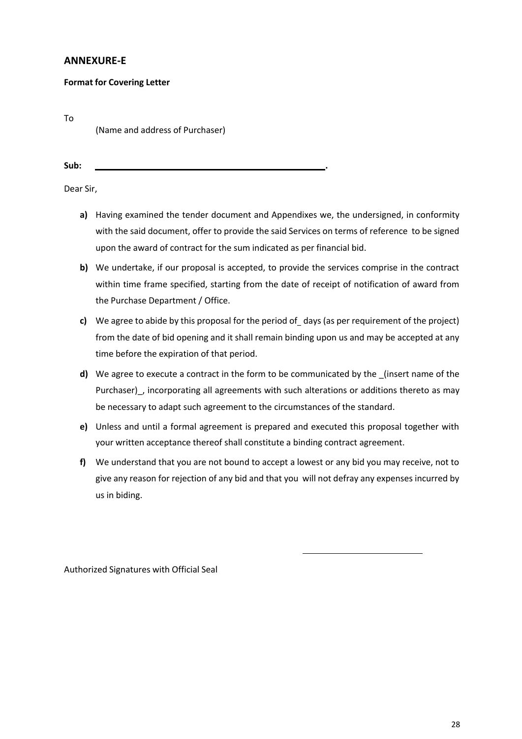# **ANNEXURE-E**

#### **Format for Covering Letter**

To

(Name and address of Purchaser)

**Sub: .**

Dear Sir,

- **a)** Having examined the tender document and Appendixes we, the undersigned, in conformity with the said document, offer to provide the said Services on terms of reference to be signed upon the award of contract for the sum indicated as per financial bid.
- **b)** We undertake, if our proposal is accepted, to provide the services comprise in the contract within time frame specified, starting from the date of receipt of notification of award from the Purchase Department / Office.
- **c)** We agree to abide by this proposal for the period of days (as per requirement of the project) from the date of bid opening and it shall remain binding upon us and may be accepted at any time before the expiration of that period.
- **d)** We agree to execute a contract in the form to be communicated by the \_(insert name of the Purchaser), incorporating all agreements with such alterations or additions thereto as may be necessary to adapt such agreement to the circumstances of the standard.
- **e)** Unless and until a formal agreement is prepared and executed this proposal together with your written acceptance thereof shall constitute a binding contract agreement.
- **f)** We understand that you are not bound to accept a lowest or any bid you may receive, not to give any reason for rejection of any bid and that you will not defray any expenses incurred by us in biding.

Authorized Signatures with Official Seal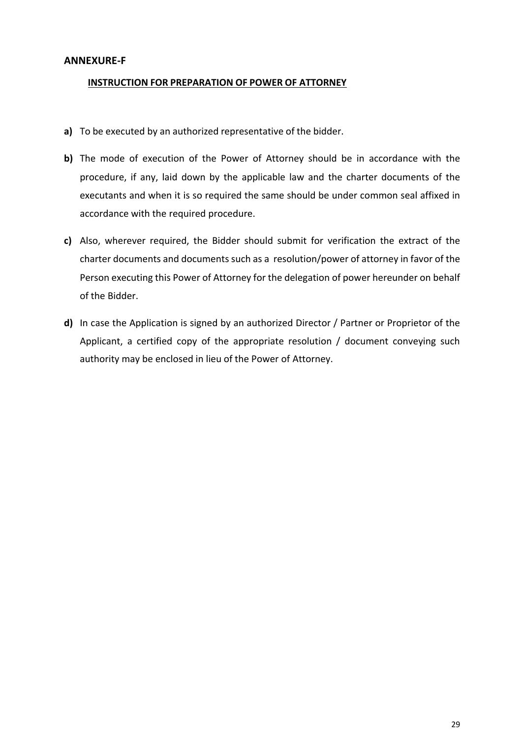## **ANNEXURE-F**

#### **INSTRUCTION FOR PREPARATION OF POWER OF ATTORNEY**

- **a)** To be executed by an authorized representative of the bidder.
- **b)** The mode of execution of the Power of Attorney should be in accordance with the procedure, if any, laid down by the applicable law and the charter documents of the executants and when it is so required the same should be under common seal affixed in accordance with the required procedure.
- **c)** Also, wherever required, the Bidder should submit for verification the extract of the charter documents and documents such as a resolution/power of attorney in favor of the Person executing this Power of Attorney for the delegation of power hereunder on behalf of the Bidder.
- **d)** In case the Application is signed by an authorized Director / Partner or Proprietor of the Applicant, a certified copy of the appropriate resolution / document conveying such authority may be enclosed in lieu of the Power of Attorney.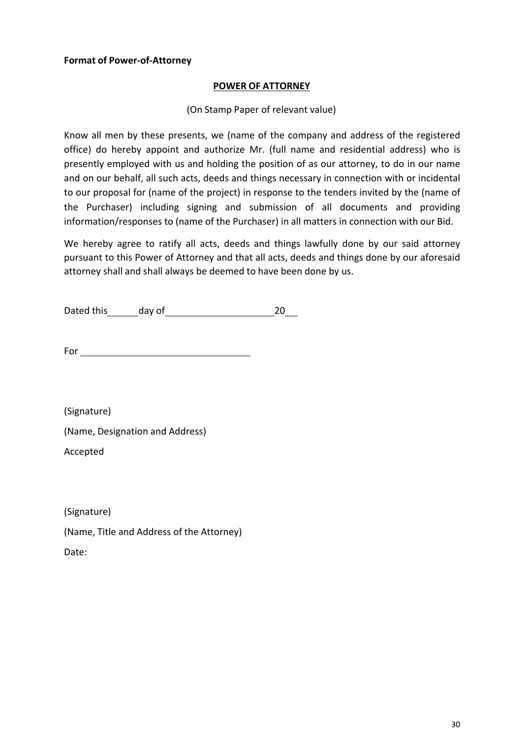# **Format of Power-of-Attorney**

## **POWER OF ATTORNEY**

# (On Stamp Paper of relevant value)

Know all men by these presents, we (name of the company and address of the registered office) do hereby appoint and authorize Mr. (full name and residential address) who is presently employed with us and holding the position of as our attorney, to do in our name and on our behalf, all such acts, deeds and things necessary in connection with or incidental to our proposal for (name of the project) in response to the tenders invited by the (name of the Purchaser) including signing and submission of all documents and providing information/responses to (name of the Purchaser) in all matters in connection with our Bid.

We hereby agree to ratify all acts, deeds and things lawfully done by our said attorney pursuant to this Power of Attorney and that all acts, deeds and things done by our aforesaid attorney shall and shall always be deemed to have been done by us.

Dated this day of 20

For

(Signature)

(Name, Designation and Address)

Accepted

(Signature)

(Name, Title and Address of the Attorney)

Date: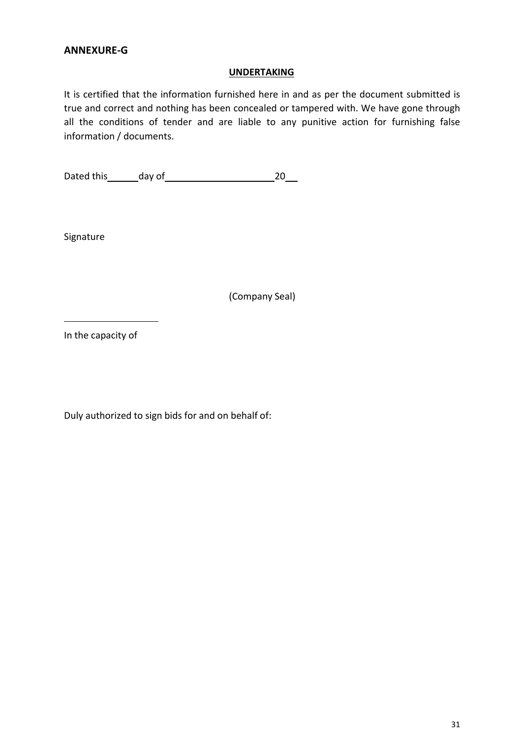# **ANNEXURE-G**

#### **UNDERTAKING**

It is certified that the information furnished here in and as per the document submitted is true and correct and nothing has been concealed or tampered with. We have gone through all the conditions of tender and are liable to any punitive action for furnishing false information / documents.

Dated this day of 20

Signature

(Company Seal)

In the capacity of

Duly authorized to sign bids for and on behalf of: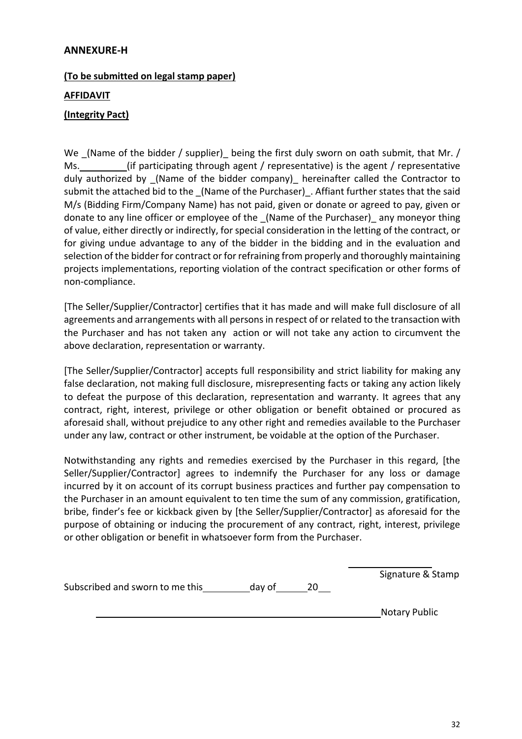# **ANNEXURE-H**

# **(To be submitted on legal stamp paper)**

## **AFFIDAVIT**

# **(Integrity Pact)**

We (Name of the bidder / supplier) being the first duly sworn on oath submit, that Mr. / Ms. (if participating through agent / representative) is the agent / representative duly authorized by (Name of the bidder company) hereinafter called the Contractor to submit the attached bid to the (Name of the Purchaser). Affiant further states that the said M/s (Bidding Firm/Company Name) has not paid, given or donate or agreed to pay, given or donate to any line officer or employee of the \_(Name of the Purchaser)\_ any moneyor thing of value, either directly or indirectly, for special consideration in the letting of the contract, or for giving undue advantage to any of the bidder in the bidding and in the evaluation and selection of the bidder for contract or for refraining from properly and thoroughly maintaining projects implementations, reporting violation of the contract specification or other forms of non-compliance.

[The Seller/Supplier/Contractor] certifies that it has made and will make full disclosure of all agreements and arrangements with all persons in respect of or related to the transaction with the Purchaser and has not taken any action or will not take any action to circumvent the above declaration, representation or warranty.

[The Seller/Supplier/Contractor] accepts full responsibility and strict liability for making any false declaration, not making full disclosure, misrepresenting facts or taking any action likely to defeat the purpose of this declaration, representation and warranty. It agrees that any contract, right, interest, privilege or other obligation or benefit obtained or procured as aforesaid shall, without prejudice to any other right and remedies available to the Purchaser under any law, contract or other instrument, be voidable at the option of the Purchaser.

Notwithstanding any rights and remedies exercised by the Purchaser in this regard, [the Seller/Supplier/Contractor] agrees to indemnify the Purchaser for any loss or damage incurred by it on account of its corrupt business practices and further pay compensation to the Purchaser in an amount equivalent to ten time the sum of any commission, gratification, bribe, finder's fee or kickback given by [the Seller/Supplier/Contractor] as aforesaid for the purpose of obtaining or inducing the procurement of any contract, right, interest, privilege or other obligation or benefit in whatsoever form from the Purchaser.

|                                 |        | Signature & Stamp |
|---------------------------------|--------|-------------------|
| Subscribed and sworn to me this | day of |                   |
|                                 |        |                   |

Notary Public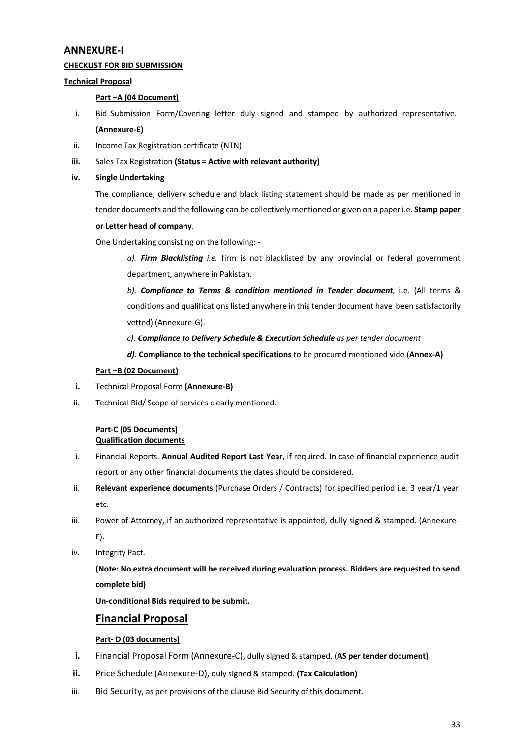#### **ANNEXURE-I**

#### **CHECKLIST FOR BID SUBMISSION**

#### **Technical Proposal**

#### **Part –A (04 Document)**

- i. Bid Submission Form/Covering letter duly signed and stamped by authorized representative. **(Annexure-E)**
- ii. Income Tax Registration certificate (NTN)
- **iii.** Sales Tax Registration **(Status = Active with relevant authority)**
- **iv. Single Undertaking**

The compliance, delivery schedule and black listing statement should be made as per mentioned in tender documents and the following can be collectively mentioned or given on a paper i.e. **Stamp paper**

#### **or Letter head of company**.

One Undertaking consisting on the following: -

*a). Firm Blacklisting i.e.* firm is not blacklisted by any provincial or federal government department, anywhere in Pakistan.

*b). Compliance to Terms & condition mentioned in Tender document,* i.e. (All terms & conditions and qualifications listed anywhere in this tender document have been satisfactorily vetted) (Annexure-G).

*c). Compliance to Delivery Schedule & Execution Schedule as per tender document*

*d).* **Compliance to the technical specifications** to be procured mentioned vide (**Annex-A)**

#### **Part –B (02 Document)**

- **i.** Technical Proposal Form **(Annexure-B)**
- ii. Technical Bid/ Scope of services clearly mentioned.

#### **Part-C (05 Documents) Qualification documents**

- i. Financial Reports. **Annual Audited Report Last Year**, if required. In case of financial experience audit report or any other financial documents the dates should be considered.
- ii. **Relevant experience documents** (Purchase Orders / Contracts) for specified period i.e. 3 year/1 year etc.
- iii. Power of Attorney, if an authorized representative is appointed, dully signed & stamped. (Annexure-F).
- iv. Integrity Pact.

**(Note: No extra document will be received during evaluation process. Bidders are requested to send complete bid)**

**Un-conditional Bids required to be submit.**

# **Financial Proposal**

#### **Part- D (03 documents)**

- **i.** Financial Proposal Form (Annexure-C), dully signed & stamped. (**AS per tender document)**
- **ii.** Price Schedule (Annexure-D), duly signed & stamped. **(Tax Calculation)**
- iii. Bid Security, as per provisions of the clause Bid Security of this document.